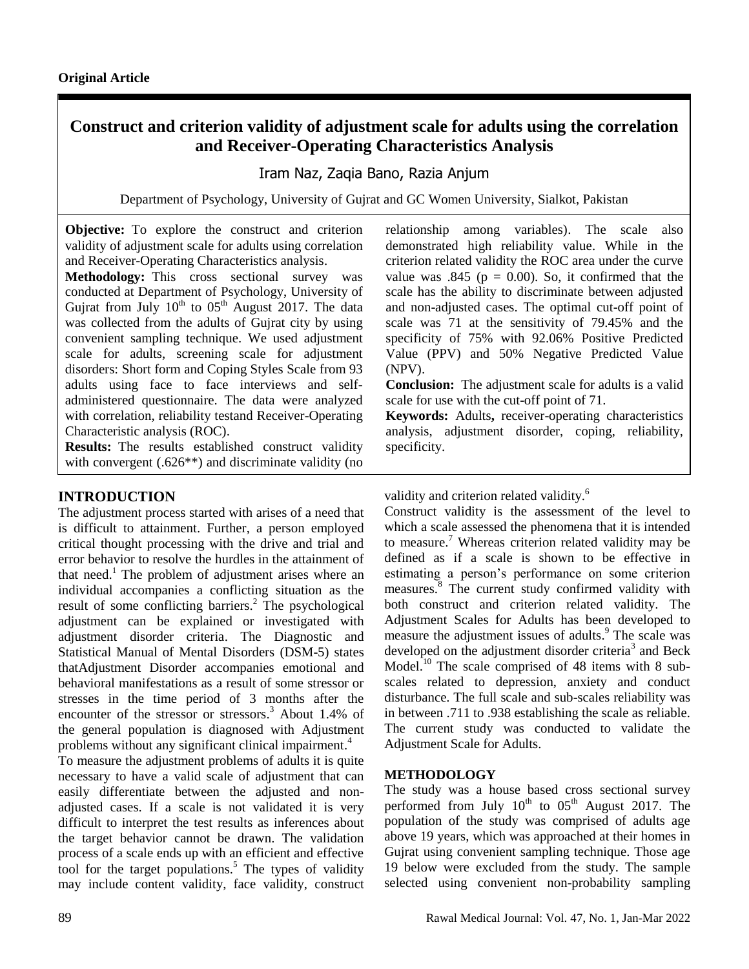# **Construct and criterion validity of adjustment scale for adults using the correlation and Receiver-Operating Characteristics Analysis**

Iram Naz, Zaqia Bano, Razia Anjum

Department of Psychology, University of Gujrat and GC Women University, Sialkot, Pakistan

**Objective:** To explore the construct and criterion validity of adjustment scale for adults using correlation and Receiver-Operating Characteristics analysis.

**Methodology:** This cross sectional survey was conducted at Department of Psychology, University of Gujrat from July  $10^{th}$  to  $05^{th}$  August 2017. The data was collected from the adults of Gujrat city by using convenient sampling technique. We used adjustment scale for adults, screening scale for adjustment disorders: Short form and Coping Styles Scale from 93 adults using face to face interviews and selfadministered questionnaire. The data were analyzed with correlation, reliability testand Receiver-Operating Characteristic analysis (ROC).

**Results:** The results established construct validity with convergent (.626<sup>\*\*</sup>) and discriminate validity (no

## **INTRODUCTION**

The adjustment process started with arises of a need that is difficult to attainment. Further, a person employed critical thought processing with the drive and trial and error behavior to resolve the hurdles in the attainment of that need.<sup>1</sup> The problem of adjustment arises where an individual accompanies a conflicting situation as the result of some conflicting barriers. <sup>2</sup> The psychological adjustment can be explained or investigated with adjustment disorder criteria. The Diagnostic and Statistical Manual of Mental Disorders (DSM-5) states thatAdjustment Disorder accompanies emotional and behavioral manifestations as a result of some stressor or stresses in the time period of 3 months after the encounter of the stressor or stressors. <sup>3</sup> About 1.4% of the general population is diagnosed with Adjustment problems without any significant clinical impairment. 4

To measure the adjustment problems of adults it is quite necessary to have a valid scale of adjustment that can easily differentiate between the adjusted and nonadjusted cases. If a scale is not validated it is very difficult to interpret the test results as inferences about the target behavior cannot be drawn. The validation process of a scale ends up with an efficient and effective tool for the target populations.<sup>5</sup> The types of validity may include content validity, face validity, construct relationship among variables). The scale also demonstrated high reliability value. While in the criterion related validity the ROC area under the curve value was .845 ( $p = 0.00$ ). So, it confirmed that the scale has the ability to discriminate between adjusted and non-adjusted cases. The optimal cut-off point of scale was 71 at the sensitivity of 79.45% and the specificity of 75% with 92.06% Positive Predicted Value (PPV) and 50% Negative Predicted Value (NPV).

**Conclusion:** The adjustment scale for adults is a valid scale for use with the cut-off point of 71.

**Keywords:** Adults**,** receiver-operating characteristics analysis, adjustment disorder, coping, reliability, specificity.

validity and criterion related validity.<sup>6</sup>

Construct validity is the assessment of the level to which a scale assessed the phenomena that it is intended to measure. <sup>7</sup> Whereas criterion related validity may be defined as if a scale is shown to be effective in estimating a person's performance on some criterion measures.<sup>8</sup> The current study confirmed validity with both construct and criterion related validity. The Adjustment Scales for Adults has been developed to measure the adjustment issues of adults. <sup>9</sup> The scale was developed on the adjustment disorder criteria<sup>3</sup> and Beck Model.<sup>10</sup> The scale comprised of 48 items with 8 subscales related to depression, anxiety and conduct disturbance. The full scale and sub-scales reliability was in between .711 to .938 establishing the scale as reliable. The current study was conducted to validate the Adjustment Scale for Adults.

## **METHODOLOGY**

The study was a house based cross sectional survey performed from July  $10^{th}$  to  $05^{th}$  August 2017. The population of the study was comprised of adults age above 19 years, which was approached at their homes in Gujrat using convenient sampling technique. Those age 19 below were excluded from the study. The sample selected using convenient non-probability sampling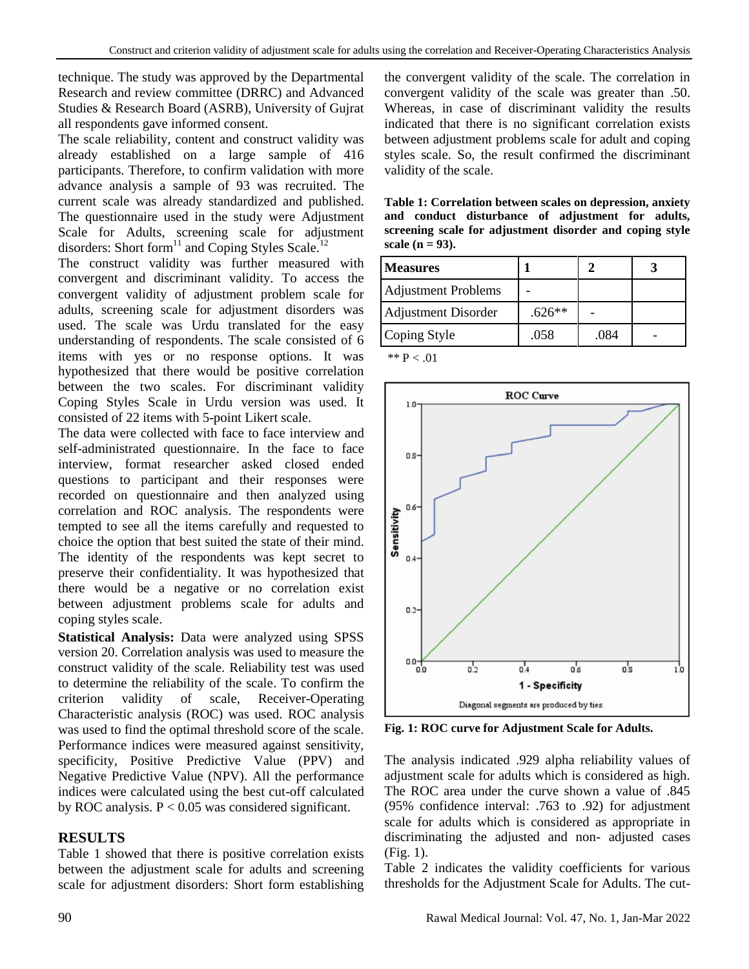technique. The study was approved by the Departmental Research and review committee (DRRC) and Advanced Studies & Research Board (ASRB), University of Gujrat all respondents gave informed consent.

The scale reliability, content and construct validity was already established on a large sample of 416 participants. Therefore, to confirm validation with more advance analysis a sample of 93 was recruited. The current scale was already standardized and published. The questionnaire used in the study were Adjustment Scale for Adults, screening scale for adjustment disorders: Short form<sup>11</sup> and Coping Styles Scale.<sup>12</sup>

The construct validity was further measured with convergent and discriminant validity. To access the convergent validity of adjustment problem scale for adults, screening scale for adjustment disorders was used. The scale was Urdu translated for the easy understanding of respondents. The scale consisted of 6 items with yes or no response options. It was hypothesized that there would be positive correlation between the two scales. For discriminant validity Coping Styles Scale in Urdu version was used. It consisted of 22 items with 5-point Likert scale.

The data were collected with face to face interview and self-administrated questionnaire. In the face to face interview, format researcher asked closed ended questions to participant and their responses were recorded on questionnaire and then analyzed using correlation and ROC analysis. The respondents were tempted to see all the items carefully and requested to choice the option that best suited the state of their mind. The identity of the respondents was kept secret to preserve their confidentiality. It was hypothesized that there would be a negative or no correlation exist between adjustment problems scale for adults and coping styles scale.

**Statistical Analysis:** Data were analyzed using SPSS version 20. Correlation analysis was used to measure the construct validity of the scale. Reliability test was used to determine the reliability of the scale. To confirm the criterion validity of scale, Receiver-Operating Characteristic analysis (ROC) was used. ROC analysis was used to find the optimal threshold score of the scale. Performance indices were measured against sensitivity, specificity, Positive Predictive Value (PPV) and Negative Predictive Value (NPV). All the performance indices were calculated using the best cut-off calculated by ROC analysis.  $P < 0.05$  was considered significant.

## **RESULTS**

Table 1 showed that there is positive correlation exists between the adjustment scale for adults and screening scale for adjustment disorders: Short form establishing the convergent validity of the scale. The correlation in convergent validity of the scale was greater than .50. Whereas, in case of discriminant validity the results indicated that there is no significant correlation exists between adjustment problems scale for adult and coping styles scale. So, the result confirmed the discriminant validity of the scale.

**Table 1: Correlation between scales on depression, anxiety and conduct disturbance of adjustment for adults, screening scale for adjustment disorder and coping style scale (n = 93).**

| <b>Measures</b>            |          |      |  |
|----------------------------|----------|------|--|
| <b>Adjustment Problems</b> |          |      |  |
| <b>Adjustment Disorder</b> | $.626**$ |      |  |
| Coping Style               | .058     | .084 |  |

 $\mathrm{^{**}P} < .01$ 



**Fig. 1: ROC curve for Adjustment Scale for Adults.**

The analysis indicated .929 alpha reliability values of adjustment scale for adults which is considered as high. The ROC area under the curve shown a value of .845 (95% confidence interval: .763 to .92) for adjustment scale for adults which is considered as appropriate in discriminating the adjusted and non- adjusted cases (Fig. 1).

Table 2 indicates the validity coefficients for various thresholds for the Adjustment Scale for Adults. The cut-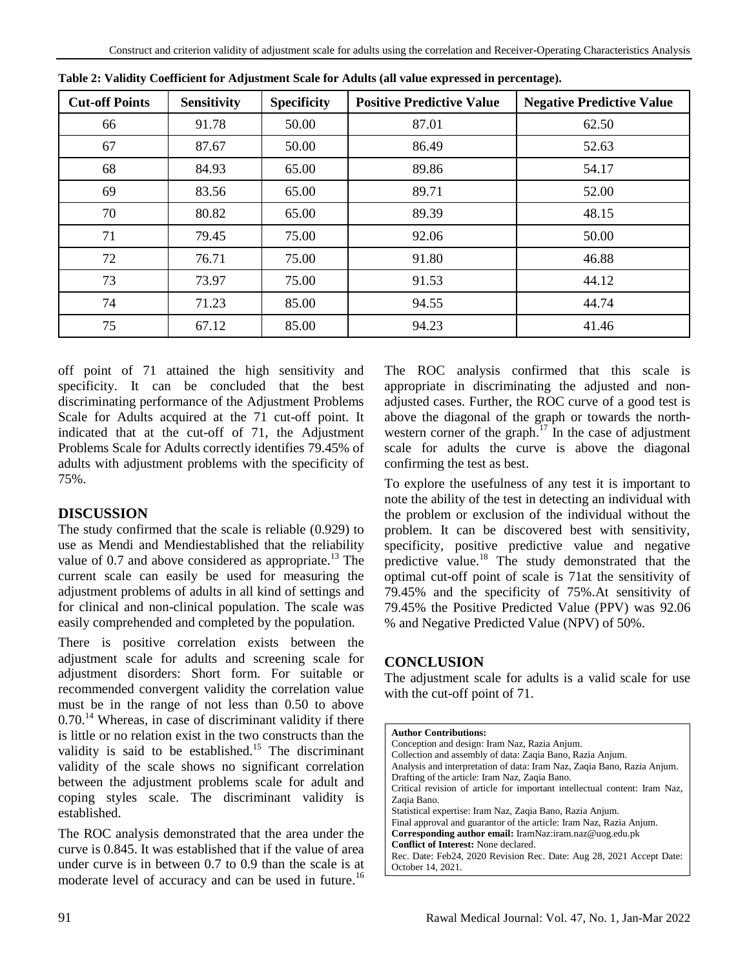| <b>Cut-off Points</b> | <b>Sensitivity</b> | <b>Specificity</b> | <b>Positive Predictive Value</b><br><b>Negative Predictive Value</b> |       |
|-----------------------|--------------------|--------------------|----------------------------------------------------------------------|-------|
| 66                    | 91.78              | 50.00              | 87.01                                                                | 62.50 |
| 67                    | 87.67              | 50.00              | 86.49                                                                | 52.63 |
| 68                    | 84.93              | 65.00              | 89.86                                                                | 54.17 |
| 69                    | 83.56              | 65.00              | 89.71                                                                | 52.00 |
| 70                    | 80.82              | 65.00              | 89.39                                                                | 48.15 |
| 71                    | 79.45              | 75.00              | 92.06                                                                | 50.00 |
| 72                    | 76.71              | 75.00              | 91.80                                                                | 46.88 |
| 73                    | 73.97              | 75.00              | 91.53                                                                | 44.12 |
| 74                    | 71.23              | 85.00              | 94.55                                                                | 44.74 |
| 75                    | 67.12              | 85.00              | 94.23                                                                | 41.46 |

|  | Table 2: Validity Coefficient for Adjustment Scale for Adults (all value expressed in percentage). |  |  |  |
|--|----------------------------------------------------------------------------------------------------|--|--|--|
|  |                                                                                                    |  |  |  |

off point of 71 attained the high sensitivity and specificity. It can be concluded that the best discriminating performance of the Adjustment Problems Scale for Adults acquired at the 71 cut-off point. It indicated that at the cut-off of 71, the Adjustment Problems Scale for Adults correctly identifies 79.45% of adults with adjustment problems with the specificity of 75%.

#### **DISCUSSION**

The study confirmed that the scale is reliable (0.929) to use as Mendi and Mendiestablished that the reliability value of  $0.7$  and above considered as appropriate.<sup>13</sup> The current scale can easily be used for measuring the adjustment problems of adults in all kind of settings and for clinical and non-clinical population. The scale was easily comprehended and completed by the population.

There is positive correlation exists between the adjustment scale for adults and screening scale for adjustment disorders: Short form. For suitable or recommended convergent validity the correlation value must be in the range of not less than 0.50 to above  $0.70$ .<sup>14</sup> Whereas, in case of discriminant validity if there is little or no relation exist in the two constructs than the validity is said to be established.<sup>15</sup> The discriminant validity of the scale shows no significant correlation between the adjustment problems scale for adult and coping styles scale. The discriminant validity is established.

The ROC analysis demonstrated that the area under the curve is 0.845. It was established that if the value of area under curve is in between 0.7 to 0.9 than the scale is at moderate level of accuracy and can be used in future.<sup>16</sup>

The ROC analysis confirmed that this scale is appropriate in discriminating the adjusted and nonadjusted cases. Further, the ROC curve of a good test is above the diagonal of the graph or towards the northwestern corner of the graph.<sup>17</sup> In the case of adjustment scale for adults the curve is above the diagonal confirming the test as best.

To explore the usefulness of any test it is important to note the ability of the test in detecting an individual with the problem or exclusion of the individual without the problem. It can be discovered best with sensitivity, specificity, positive predictive value and negative predictive value.<sup>18</sup> The study demonstrated that the optimal cut-off point of scale is 71at the sensitivity of 79.45% and the specificity of 75%.At sensitivity of 79.45% the Positive Predicted Value (PPV) was 92.06 % and Negative Predicted Value (NPV) of 50%.

## **CONCLUSION**

The adjustment scale for adults is a valid scale for use with the cut-off point of 71.

| <b>Author Contributions:</b>                                               |
|----------------------------------------------------------------------------|
| Conception and design: Iram Naz, Razia Anjum.                              |
| Collection and assembly of data: Zagia Bano, Razia Anjum.                  |
| Analysis and interpretation of data: Iram Naz, Zaqia Bano, Razia Anjum.    |
| Drafting of the article: Iram Naz, Zaqia Bano.                             |
| Critical revision of article for important intellectual content: Iram Naz, |
| Zaqia Bano.                                                                |
| Statistical expertise: Iram Naz, Zaqia Bano, Razia Anjum.                  |
| Final approval and guarantor of the article: Iram Naz, Razia Anjum.        |
| Corresponding author email: IramNaz:iram.naz@uog.edu.pk                    |
| <b>Conflict of Interest:</b> None declared.                                |
| Rec. Date: Feb24, 2020 Revision Rec. Date: Aug 28, 2021 Accept Date:       |
| October 14, 2021.                                                          |